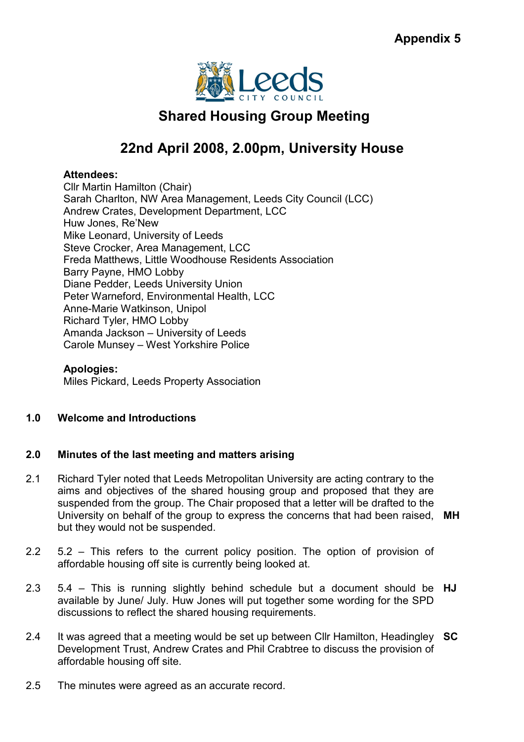

# Shared Housing Group Meeting

# 22nd April 2008, 2.00pm, University House

# Attendees:

Cllr Martin Hamilton (Chair) Sarah Charlton, NW Area Management, Leeds City Council (LCC) Andrew Crates, Development Department, LCC Huw Jones, Re'New Mike Leonard, University of Leeds Steve Crocker, Area Management, LCC Freda Matthews, Little Woodhouse Residents Association Barry Payne, HMO Lobby Diane Pedder, Leeds University Union Peter Warneford, Environmental Health, LCC Anne-Marie Watkinson, Unipol Richard Tyler, HMO Lobby Amanda Jackson – University of Leeds Carole Munsey – West Yorkshire Police

# Apologies:

Miles Pickard, Leeds Property Association

# 1.0 Welcome and Introductions

#### 2.0 Minutes of the last meeting and matters arising

- 2.1 Richard Tyler noted that Leeds Metropolitan University are acting contrary to the aims and objectives of the shared housing group and proposed that they are suspended from the group. The Chair proposed that a letter will be drafted to the University on behalf of the group to express the concerns that had been raised, MH but they would not be suspended.
- 2.2 5.2 – This refers to the current policy position. The option of provision of affordable housing off site is currently being looked at.
- 2.3 5.4 – This is running slightly behind schedule but a document should be HJ available by June/ July. Huw Jones will put together some wording for the SPD discussions to reflect the shared housing requirements.
- 2.4 It was agreed that a meeting would be set up between Cllr Hamilton, Headingley SC Development Trust, Andrew Crates and Phil Crabtree to discuss the provision of affordable housing off site.
- 2.5 The minutes were agreed as an accurate record.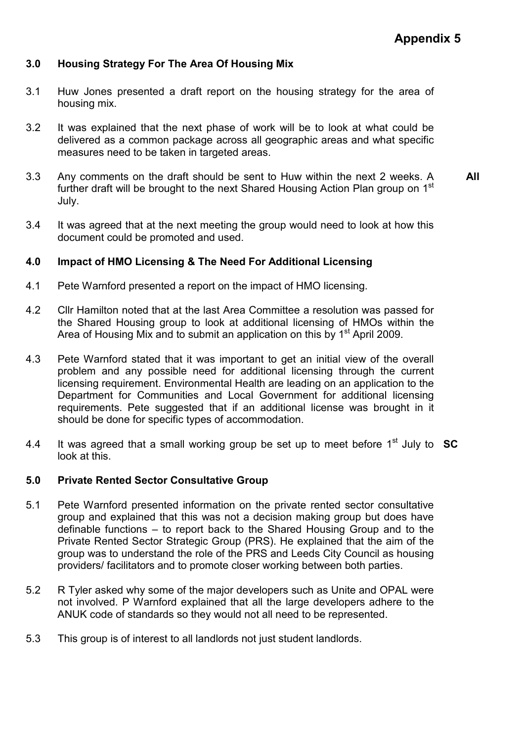# 3.0 Housing Strategy For The Area Of Housing Mix

- 3.1 Huw Jones presented a draft report on the housing strategy for the area of housing mix.
- 3.2 It was explained that the next phase of work will be to look at what could be delivered as a common package across all geographic areas and what specific measures need to be taken in targeted areas.
- 3.3 Any comments on the draft should be sent to Huw within the next 2 weeks. A further draft will be brought to the next Shared Housing Action Plan group on 1<sup>st</sup> July. All
- 3.4 It was agreed that at the next meeting the group would need to look at how this document could be promoted and used.

#### 4.0 Impact of HMO Licensing & The Need For Additional Licensing

- 4.1 Pete Warnford presented a report on the impact of HMO licensing.
- 4.2 Cllr Hamilton noted that at the last Area Committee a resolution was passed for the Shared Housing group to look at additional licensing of HMOs within the Area of Housing Mix and to submit an application on this by 1<sup>st</sup> April 2009.
- 4.3 Pete Warnford stated that it was important to get an initial view of the overall problem and any possible need for additional licensing through the current licensing requirement. Environmental Health are leading on an application to the Department for Communities and Local Government for additional licensing requirements. Pete suggested that if an additional license was brought in it should be done for specific types of accommodation.
- 4.4 It was agreed that a small working group be set up to meet before  $1<sup>st</sup>$  July to  $SC$ look at this.

#### 5.0 Private Rented Sector Consultative Group

- 5.1 Pete Warnford presented information on the private rented sector consultative group and explained that this was not a decision making group but does have definable functions – to report back to the Shared Housing Group and to the Private Rented Sector Strategic Group (PRS). He explained that the aim of the group was to understand the role of the PRS and Leeds City Council as housing providers/ facilitators and to promote closer working between both parties.
- 5.2 R Tyler asked why some of the major developers such as Unite and OPAL were not involved. P Warnford explained that all the large developers adhere to the ANUK code of standards so they would not all need to be represented.
- 5.3 This group is of interest to all landlords not just student landlords.